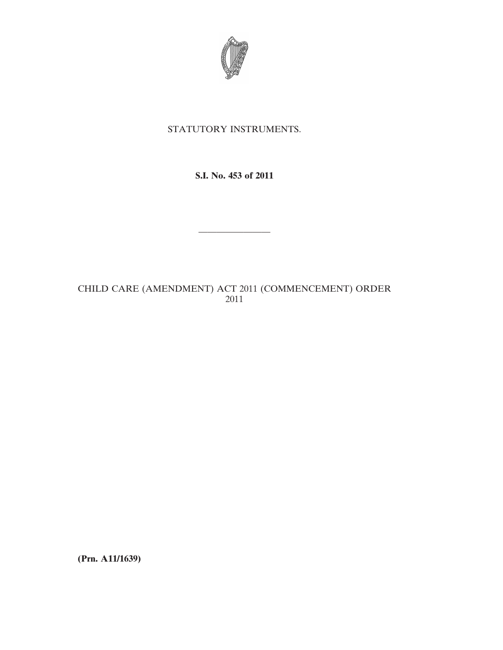

## STATUTORY INSTRUMENTS.

## **S.I. No. 453 of 2011**

————————

# CHILD CARE (AMENDMENT) ACT 2011 (COMMENCEMENT) ORDER 2011

**(Prn. A11/1639)**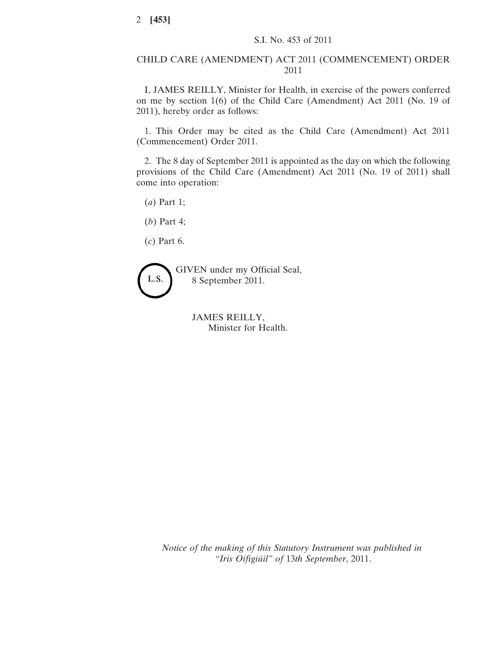### CHILD CARE (AMENDMENT) ACT 2011 (COMMENCEMENT) ORDER 2011

I, JAMES REILLY, Minister for Health, in exercise of the powers conferred on me by section 1(6) of the Child Care (Amendment) Act 2011 (No. 19 of 2011), hereby order as follows:

1. This Order may be cited as the Child Care (Amendment) Act 2011 (Commencement) Order 2011.

2. The 8 day of September 2011 is appointed as the day on which the following provisions of the Child Care (Amendment) Act 2011 (No. 19 of 2011) shall come into operation:

(*a*) Part 1;

(*b*) Part 4;

(*c*) Part 6.

GIVEN under my Official Seal, L.S. 8 September 2011.

> JAMES REILLY, Minister for Health.

*Notice of the making of this Statutory Instrument was published in "Iris Oifigiúil" of* 13*th September*, 2011.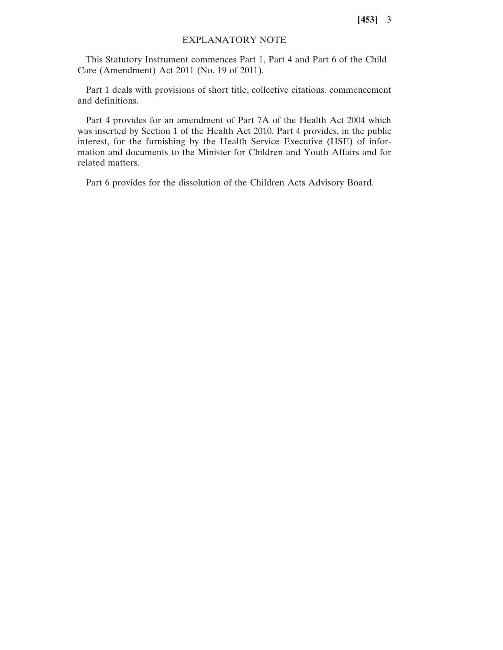**[453]** 3

### EXPLANATORY NOTE

This Statutory Instrument commences Part 1, Part 4 and Part 6 of the Child Care (Amendment) Act 2011 (No. 19 of 2011).

Part 1 deals with provisions of short title, collective citations, commencement and definitions.

Part 4 provides for an amendment of Part 7A of the Health Act 2004 which was inserted by Section 1 of the Health Act 2010. Part 4 provides, in the public interest, for the furnishing by the Health Service Executive (HSE) of information and documents to the Minister for Children and Youth Affairs and for related matters.

Part 6 provides for the dissolution of the Children Acts Advisory Board.